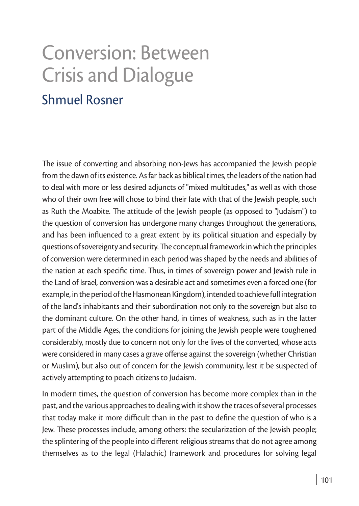# Conversion: Between Crisis and Dialogue

## Shmuel Rosner

The issue of converting and absorbing non-Jews has accompanied the Jewish people from the dawn of its existence. As far back as biblical times, the leaders of the nation had to deal with more or less desired adjuncts of "mixed multitudes," as well as with those who of their own free will chose to bind their fate with that of the Jewish people, such as Ruth the Moabite. The attitude of the Jewish people (as opposed to "Judaism") to the question of conversion has undergone many changes throughout the generations, and has been influenced to a great extent by its political situation and especially by questions of sovereignty and security. The conceptual framework in which the principles of conversion were determined in each period was shaped by the needs and abilities of the nation at each specific time. Thus, in times of sovereign power and Jewish rule in the Land of Israel, conversion was a desirable act and sometimes even a forced one (for example, in the period of the Hasmonean Kingdom), intended to achieve full integration of the land's inhabitants and their subordination not only to the sovereign but also to the dominant culture. On the other hand, in times of weakness, such as in the latter part of the Middle Ages, the conditions for joining the Jewish people were toughened considerably, mostly due to concern not only for the lives of the converted, whose acts were considered in many cases a grave offense against the sovereign (whether Christian or Muslim), but also out of concern for the Jewish community, lest it be suspected of actively attempting to poach citizens to Judaism.

In modern times, the question of conversion has become more complex than in the past, and the various approaches to dealing with it show the traces of several processes that today make it more difficult than in the past to define the question of who is a Jew. These processes include, among others: the secularization of the Jewish people; the splintering of the people into different religious streams that do not agree among themselves as to the legal (Halachic) framework and procedures for solving legal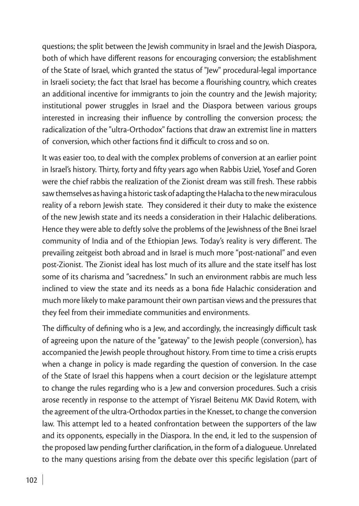questions; the split between the Jewish community in Israel and the Jewish Diaspora, both of which have different reasons for encouraging conversion; the establishment of the State of Israel, which granted the status of "Jew" procedural-legal importance in Israeli society; the fact that Israel has become a flourishing country, which creates an additional incentive for immigrants to join the country and the Jewish majority; institutional power struggles in Israel and the Diaspora between various groups interested in increasing their influence by controlling the conversion process; the radicalization of the "ultra-Orthodox" factions that draw an extremist line in matters of conversion, which other factions find it difficult to cross and so on.

It was easier too, to deal with the complex problems of conversion at an earlier point in Israel's history. Thirty, forty and fifty years ago when Rabbis Uziel, Yosef and Goren were the chief rabbis the realization of the Zionist dream was still fresh. These rabbis saw themselves as having a historic task of adapting the Halacha to the new miraculous reality of a reborn Jewish state. They considered it their duty to make the existence of the new Jewish state and its needs a consideration in their Halachic deliberations. Hence they were able to deftly solve the problems of the Jewishness of the Bnei Israel community of India and of the Ethiopian Jews. Today's reality is very different. The prevailing zeitgeist both abroad and in Israel is much more "post-national" and even post-Zionist. The Zionist ideal has lost much of its allure and the state itself has lost some of its charisma and "sacredness." In such an environment rabbis are much less inclined to view the state and its needs as a bona fide Halachic consideration and much more likely to make paramount their own partisan views and the pressures that they feel from their immediate communities and environments.

The difficulty of defining who is a Jew, and accordingly, the increasingly difficult task of agreeing upon the nature of the "gateway" to the Jewish people (conversion), has accompanied the Jewish people throughout history. From time to time a crisis erupts when a change in policy is made regarding the question of conversion. In the case of the State of Israel this happens when a court decision or the legislature attempt to change the rules regarding who is a Jew and conversion procedures. Such a crisis arose recently in response to the attempt of Yisrael Beitenu MK David Rotem, with the agreement of the ultra-Orthodox parties in the Knesset, to change the conversion law. This attempt led to a heated confrontation between the supporters of the law and its opponents, especially in the Diaspora. In the end, it led to the suspension of the proposed law pending further clarification, in the form of a dialogueue. Unrelated to the many questions arising from the debate over this specific legislation (part of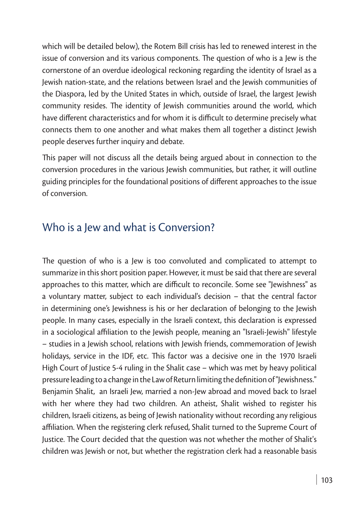which will be detailed below), the Rotem Bill crisis has led to renewed interest in the issue of conversion and its various components. The question of who is a Jew is the cornerstone of an overdue ideological reckoning regarding the identity of Israel as a Jewish nation-state, and the relations between Israel and the Jewish communities of the Diaspora, led by the United States in which, outside of Israel, the largest Jewish community resides. The identity of Jewish communities around the world, which have different characteristics and for whom it is difficult to determine precisely what connects them to one another and what makes them all together a distinct Jewish people deserves further inquiry and debate.

This paper will not discuss all the details being argued about in connection to the conversion procedures in the various Jewish communities, but rather, it will outline guiding principles for the foundational positions of different approaches to the issue of conversion.

#### Who is a Jew and what is Conversion?

The question of who is a Jew is too convoluted and complicated to attempt to summarize in this short position paper. However, it must be said that there are several approaches to this matter, which are difficult to reconcile. Some see "Jewishness" as a voluntary matter, subject to each individual's decision – that the central factor in determining one's Jewishness is his or her declaration of belonging to the Jewish people. In many cases, especially in the Israeli context, this declaration is expressed in a sociological affiliation to the Jewish people, meaning an "Israeli-Jewish" lifestyle – studies in a Jewish school, relations with Jewish friends, commemoration of Jewish holidays, service in the IDF, etc. This factor was a decisive one in the 1970 Israeli High Court of Justice 5-4 ruling in the Shalit case – which was met by heavy political pressure leading to a change in the Law of Return limiting the definition of "Jewishness." Benjamin Shalit, an Israeli Jew, married a non-Jew abroad and moved back to Israel with her where they had two children. An atheist, Shalit wished to register his children, Israeli citizens, as being of Jewish nationality without recording any religious affiliation. When the registering clerk refused, Shalit turned to the Supreme Court of Justice. The Court decided that the question was not whether the mother of Shalit's children was Jewish or not, but whether the registration clerk had a reasonable basis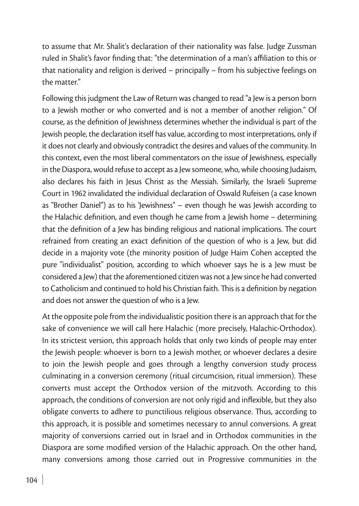to assume that Mr. Shalit's declaration of their nationality was false. Judge Zussman ruled in Shalit's favor finding that: "the determination of a man's affiliation to this or that nationality and religion is derived – principally – from his subjective feelings on the matter."

Following this judgment the Law of Return was changed to read "a Jew is a person born to a Jewish mother or who converted and is not a member of another religion." Of course, as the definition of Jewishness determines whether the individual is part of the Jewish people, the declaration itself has value, according to most interpretations, only if it does not clearly and obviously contradict the desires and values of the community. In this context, even the most liberal commentators on the issue of Jewishness, especially in the Diaspora, would refuse to accept as a Jew someone, who, while choosing Judaism, also declares his faith in Jesus Christ as the Messiah. Similarly, the Israeli Supreme Court in 1962 invalidated the individual declaration of Oswald Rufeisen (a case known as "Brother Daniel") as to his 'Jewishness" – even though he was Jewish according to the Halachic definition, and even though he came from a Jewish home – determining that the definition of a Jew has binding religious and national implications. The court refrained from creating an exact definition of the question of who is a Jew, but did decide in a majority vote (the minority position of Judge Haim Cohen accepted the pure "individualist" position, according to which whoever says he is a Jew must be considered a Jew) that the aforementioned citizen was not a Jew since he had converted to Catholicism and continued to hold his Christian faith. This is a definition by negation and does not answer the question of who is a Jew.

At the opposite pole from the individualistic position there is an approach that for the sake of convenience we will call here Halachic (more precisely, Halachic-Orthodox). In its strictest version, this approach holds that only two kinds of people may enter the Jewish people: whoever is born to a Jewish mother, or whoever declares a desire to join the Jewish people and goes through a lengthy conversion study process culminating in a conversion ceremony (ritual circumcision, ritual immersion). These converts must accept the Orthodox version of the mitzvoth. According to this approach, the conditions of conversion are not only rigid and inflexible, but they also obligate converts to adhere to punctilious religious observance. Thus, according to this approach, it is possible and sometimes necessary to annul conversions. A great majority of conversions carried out in Israel and in Orthodox communities in the Diaspora are some modified version of the Halachic approach. On the other hand, many conversions among those carried out in Progressive communities in the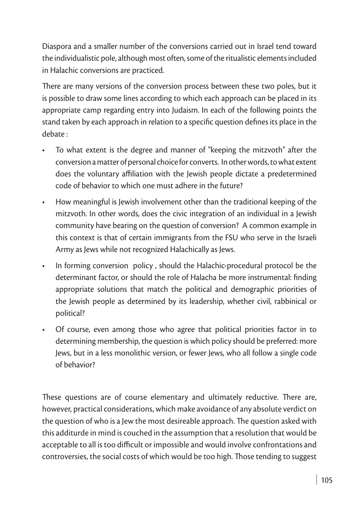Diaspora and a smaller number of the conversions carried out in Israel tend toward the individualistic pole, although most often, some of the ritualistic elements included in Halachic conversions are practiced.

There are many versions of the conversion process between these two poles, but it is possible to draw some lines according to which each approach can be placed in its appropriate camp regarding entry into Judaism. In each of the following points the stand taken by each approach in relation to a specific question defines its place in the debate :

- To what extent is the degree and manner of "keeping the mitzvoth" after the conversion a matter of personal choice for converts. In other words, to what extent does the voluntary affiliation with the Jewish people dictate a predetermined code of behavior to which one must adhere in the future?
- How meaningful is Jewish involvement other than the traditional keeping of the mitzvoth. In other words, does the civic integration of an individual in a Jewish community have bearing on the question of conversion? A common example in this context is that of certain immigrants from the FSU who serve in the Israeli Army as Jews while not recognized Halachically as Jews.
- In forming conversion policy, should the Halachic-procedural protocol be the determinant factor, or should the role of Halacha be more instrumental: finding appropriate solutions that match the political and demographic priorities of the Jewish people as determined by its leadership, whether civil, rabbinical or political?
- Of course, even among those who agree that political priorities factor in to determining membership, the question is which policy should be preferred: more Jews, but in a less monolithic version, or fewer Jews, who all follow a single code of behavior?

These questions are of course elementary and ultimately reductive. There are, however, practical considerations, which make avoidance of any absolute verdict on the question of who is a Jew the most desireable approach. The question asked with this additurde in mind is couched in the assumption that a resolution that would be acceptable to all is too difficult or impossible and would involve confrontations and controversies, the social costs of which would be too high. Those tending to suggest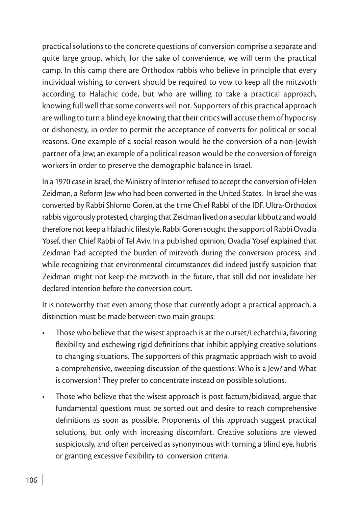practical solutions to the concrete questions of conversion comprise a separate and quite large group, which, for the sake of convenience, we will term the practical camp. In this camp there are Orthodox rabbis who believe in principle that every individual wishing to convert should be required to vow to keep all the mitzvoth according to Halachic code, but who are willing to take a practical approach, knowing full well that some converts will not. Supporters of this practical approach are willing to turn a blind eye knowing that their critics will accuse them of hypocrisy or dishonesty, in order to permit the acceptance of converts for political or social reasons. One example of a social reason would be the conversion of a non-Jewish partner of a Jew; an example of a political reason would be the conversion of foreign workers in order to preserve the demographic balance in Israel.

In a 1970 case in Israel, the Ministry of Interior refused to accept the conversion of Helen Zeidman, a Reform Jew who had been converted in the United States. In Israel she was converted by Rabbi Shlomo Goren, at the time Chief Rabbi of the IDF. Ultra-Orthodox rabbis vigorously protested, charging that Zeidman lived on a secular kibbutz and would therefore not keep a Halachic lifestyle. Rabbi Goren sought the support of Rabbi Ovadia Yosef, then Chief Rabbi of Tel Aviv. In a published opinion, Ovadia Yosef explained that Zeidman had accepted the burden of mitzvoth during the conversion process, and while recognizing that environmental circumstances did indeed justify suspicion that Zeidman might not keep the mitzvoth in the future, that still did not invalidate her declared intention before the conversion court.

It is noteworthy that even among those that currently adopt a practical approach, a distinction must be made between two main groups:

- Those who believe that the wisest approach is at the outset/Lechatchila, favoring flexibility and eschewing rigid definitions that inhibit applying creative solutions to changing situations. The supporters of this pragmatic approach wish to avoid a comprehensive, sweeping discussion of the questions: Who is a Jew? and What is conversion? They prefer to concentrate instead on possible solutions.
- Those who believe that the wisest approach is post factum/bidiavad, argue that fundamental questions must be sorted out and desire to reach comprehensive definitions as soon as possible. Proponents of this approach suggest practical solutions, but only with increasing discomfort. Creative solutions are viewed suspiciously, and often perceived as synonymous with turning a blind eye, hubris or granting excessive flexibility to conversion criteria.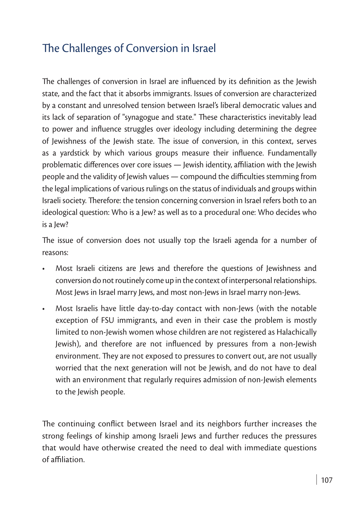## The Challenges of Conversion in Israel

The challenges of conversion in Israel are influenced by its definition as the Jewish state, and the fact that it absorbs immigrants. Issues of conversion are characterized by a constant and unresolved tension between Israel's liberal democratic values and its lack of separation of "synagogue and state." These characteristics inevitably lead to power and influence struggles over ideology including determining the degree of Jewishness of the Jewish state. The issue of conversion, in this context, serves as a yardstick by which various groups measure their influence. Fundamentally problematic differences over core issues — Jewish identity, affiliation with the Jewish people and the validity of Jewish values — compound the difficulties stemming from the legal implications of various rulings on the status of individuals and groups within Israeli society. Therefore: the tension concerning conversion in Israel refers both to an ideological question: Who is a Jew? as well as to a procedural one: Who decides who is a Jew?

The issue of conversion does not usually top the Israeli agenda for a number of reasons:

- Most Israeli citizens are Jews and therefore the questions of Jewishness and conversion do not routinely come up in the context of interpersonal relationships. Most Jews in Israel marry Jews, and most non-Jews in Israel marry non-Jews.
- Most Israelis have little day-to-day contact with non-Jews (with the notable exception of FSU immigrants, and even in their case the problem is mostly limited to non-Jewish women whose children are not registered as Halachically Jewish), and therefore are not influenced by pressures from a non-Jewish environment. They are not exposed to pressures to convert out, are not usually worried that the next generation will not be Jewish, and do not have to deal with an environment that regularly requires admission of non-Jewish elements to the Jewish people.

The continuing conflict between Israel and its neighbors further increases the strong feelings of kinship among Israeli Jews and further reduces the pressures that would have otherwise created the need to deal with immediate questions of affiliation.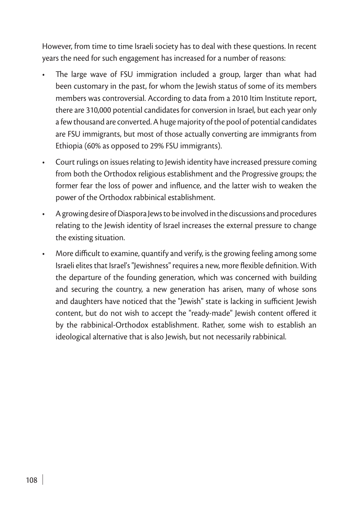However, from time to time Israeli society has to deal with these questions. In recent years the need for such engagement has increased for a number of reasons:

- The large wave of FSU immigration included a group, larger than what had been customary in the past, for whom the Jewish status of some of its members members was controversial. According to data from a 2010 Itim Institute report, there are 310,000 potential candidates for conversion in Israel, but each year only a few thousand are converted. A huge majority of the pool of potential candidates are FSU immigrants, but most of those actually converting are immigrants from Ethiopia (60% as opposed to 29% FSU immigrants).
- Court rulings on issues relating to Jewish identity have increased pressure coming from both the Orthodox religious establishment and the Progressive groups; the former fear the loss of power and influence, and the latter wish to weaken the power of the Orthodox rabbinical establishment.
- • A growing desire of Diaspora Jews to be involved in the discussions and procedures relating to the Jewish identity of Israel increases the external pressure to change the existing situation.
- More difficult to examine, quantify and verify, is the growing feeling among some Israeli elites that Israel's "Jewishness" requires a new, more flexible definition. With the departure of the founding generation, which was concerned with building and securing the country, a new generation has arisen, many of whose sons and daughters have noticed that the "Jewish" state is lacking in sufficient Jewish content, but do not wish to accept the "ready-made" Jewish content offered it by the rabbinical-Orthodox establishment. Rather, some wish to establish an ideological alternative that is also Jewish, but not necessarily rabbinical.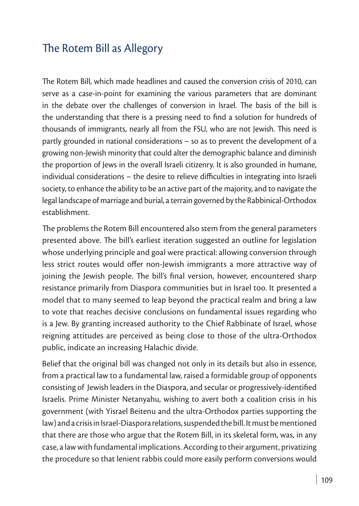#### The Rotem Bill as Allegory

The Rotem Bill, which made headlines and caused the conversion crisis of 2010, can serve as a case-in-point for examining the various parameters that are dominant in the debate over the challenges of conversion in Israel. The basis of the bill is the understanding that there is a pressing need to find a solution for hundreds of thousands of immigrants, nearly all from the FSU, who are not Jewish. This need is partly grounded in national considerations – so as to prevent the development of a growing non-Jewish minority that could alter the demographic balance and diminish the proportion of Jews in the overall Israeli citizenry. It is also grounded in humane, individual considerations – the desire to relieve difficulties in integrating into Israeli society, to enhance the ability to be an active part of the majority, and to navigate the legal landscape of marriage and burial, a terrain governed by the Rabbinical-Orthodox establishment.

The problems the Rotem Bill encountered also stem from the general parameters presented above. The bill's earliest iteration suggested an outline for legislation whose underlying principle and goal were practical: allowing conversion through less strict routes would offer non-Jewish immigrants a more attractive way of joining the Jewish people. The bill's final version, however, encountered sharp resistance primarily from Diaspora communities but in Israel too. It presented a model that to many seemed to leap beyond the practical realm and bring a law to vote that reaches decisive conclusions on fundamental issues regarding who is a Jew. By granting increased authority to the Chief Rabbinate of Israel, whose reigning attitudes are perceived as being close to those of the ultra-Orthodox public, indicate an increasing Halachic divide.

Belief that the original bill was changed not only in its details but also in essence, from a practical law to a fundamental law, raised a formidable group of opponents consisting of Jewish leaders in the Diaspora, and secular or progressively-identified Israelis. Prime Minister Netanyahu, wishing to avert both a coalition crisis in his government (with Yisrael Beitenu and the ultra-Orthodox parties supporting the law) and a crisis in Israel-Diaspora relations, suspended the bill. It must be mentioned that there are those who argue that the Rotem Bill, in its skeletal form, was, in any case, a law with fundamental implications. According to their argument, privatizing the procedure so that lenient rabbis could more easily perform conversions would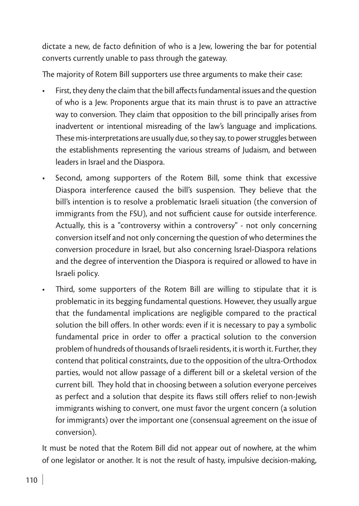dictate a new, de facto definition of who is a Jew, lowering the bar for potential converts currently unable to pass through the gateway.

The majority of Rotem Bill supporters use three arguments to make their case:

- First, they deny the claim that the bill affects fundamental issues and the question of who is a Jew. Proponents argue that its main thrust is to pave an attractive way to conversion. They claim that opposition to the bill principally arises from inadvertent or intentional misreading of the law's language and implications. These mis-interpretations are usually due, so they say, to power struggles between the establishments representing the various streams of Judaism, and between leaders in Israel and the Diaspora.
- • Second, among supporters of the Rotem Bill, some think that excessive Diaspora interference caused the bill's suspension. They believe that the bill's intention is to resolve a problematic Israeli situation (the conversion of immigrants from the FSU), and not sufficient cause for outside interference. Actually, this is a "controversy within a controversy" - not only concerning conversion itself and not only concerning the question of who determines the conversion procedure in Israel, but also concerning Israel-Diaspora relations and the degree of intervention the Diaspora is required or allowed to have in Israeli policy.
- Third, some supporters of the Rotem Bill are willing to stipulate that it is problematic in its begging fundamental questions. However, they usually argue that the fundamental implications are negligible compared to the practical solution the bill offers. In other words: even if it is necessary to pay a symbolic fundamental price in order to offer a practical solution to the conversion problem of hundreds of thousands of Israeli residents, it is worth it. Further, they contend that political constraints, due to the opposition of the ultra-Orthodox parties, would not allow passage of a different bill or a skeletal version of the current bill. They hold that in choosing between a solution everyone perceives as perfect and a solution that despite its flaws still offers relief to non-Jewish immigrants wishing to convert, one must favor the urgent concern (a solution for immigrants) over the important one (consensual agreement on the issue of conversion).

It must be noted that the Rotem Bill did not appear out of nowhere, at the whim of one legislator or another. It is not the result of hasty, impulsive decision-making,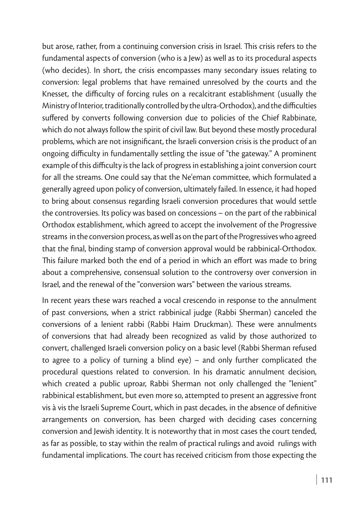but arose, rather, from a continuing conversion crisis in Israel. This crisis refers to the fundamental aspects of conversion (who is a Jew) as well as to its procedural aspects (who decides). In short, the crisis encompasses many secondary issues relating to conversion: legal problems that have remained unresolved by the courts and the Knesset, the difficulty of forcing rules on a recalcitrant establishment (usually the Ministry of Interior, traditionally controlled by the ultra-Orthodox), and the difficulties suffered by converts following conversion due to policies of the Chief Rabbinate, which do not always follow the spirit of civil law. But beyond these mostly procedural problems, which are not insignificant, the Israeli conversion crisis is the product of an ongoing difficulty in fundamentally settling the issue of "the gateway." A prominent example of this difficulty is the lack of progress in establishing a joint conversion court for all the streams. One could say that the Ne'eman committee, which formulated a generally agreed upon policy of conversion, ultimately failed. In essence, it had hoped to bring about consensus regarding Israeli conversion procedures that would settle the controversies. Its policy was based on concessions – on the part of the rabbinical Orthodox establishment, which agreed to accept the involvement of the Progressive streams in the conversion process, as well as on the part of the Progressives who agreed that the final, binding stamp of conversion approval would be rabbinical-Orthodox. This failure marked both the end of a period in which an effort was made to bring about a comprehensive, consensual solution to the controversy over conversion in Israel, and the renewal of the "conversion wars" between the various streams.

In recent years these wars reached a vocal crescendo in response to the annulment of past conversions, when a strict rabbinical judge (Rabbi Sherman) canceled the conversions of a lenient rabbi (Rabbi Haim Druckman). These were annulments of conversions that had already been recognized as valid by those authorized to convert, challenged Israeli conversion policy on a basic level (Rabbi Sherman refused to agree to a policy of turning a blind eye) – and only further complicated the procedural questions related to conversion. In his dramatic annulment decision, which created a public uproar, Rabbi Sherman not only challenged the "lenient" rabbinical establishment, but even more so, attempted to present an aggressive front vis à vis the Israeli Supreme Court, which in past decades, in the absence of definitive arrangements on conversion, has been charged with deciding cases concerning conversion and Jewish identity. It is noteworthy that in most cases the court tended, as far as possible, to stay within the realm of practical rulings and avoid rulings with fundamental implications. The court has received criticism from those expecting the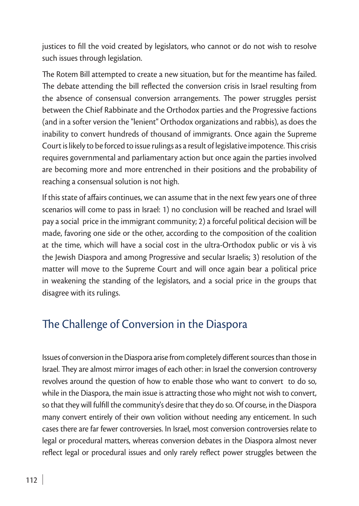justices to fill the void created by legislators, who cannot or do not wish to resolve such issues through legislation.

The Rotem Bill attempted to create a new situation, but for the meantime has failed. The debate attending the bill reflected the conversion crisis in Israel resulting from the absence of consensual conversion arrangements. The power struggles persist between the Chief Rabbinate and the Orthodox parties and the Progressive factions (and in a softer version the "lenient" Orthodox organizations and rabbis), as does the inability to convert hundreds of thousand of immigrants. Once again the Supreme Court is likely to be forced to issue rulings as a result of legislative impotence. This crisis requires governmental and parliamentary action but once again the parties involved are becoming more and more entrenched in their positions and the probability of reaching a consensual solution is not high.

If this state of affairs continues, we can assume that in the next few years one of three scenarios will come to pass in Israel: 1) no conclusion will be reached and Israel will pay a social price in the immigrant community; 2) a forceful political decision will be made, favoring one side or the other, according to the composition of the coalition at the time, which will have a social cost in the ultra-Orthodox public or vis à vis the Jewish Diaspora and among Progressive and secular Israelis; 3) resolution of the matter will move to the Supreme Court and will once again bear a political price in weakening the standing of the legislators, and a social price in the groups that disagree with its rulings.

#### The Challenge of Conversion in the Diaspora

Issues of conversion in the Diaspora arise from completely different sources than those in Israel. They are almost mirror images of each other: in Israel the conversion controversy revolves around the question of how to enable those who want to convert to do so, while in the Diaspora, the main issue is attracting those who might not wish to convert, so that they will fulfill the community's desire that they do so. Of course, in the Diaspora many convert entirely of their own volition without needing any enticement. In such cases there are far fewer controversies. In Israel, most conversion controversies relate to legal or procedural matters, whereas conversion debates in the Diaspora almost never reflect legal or procedural issues and only rarely reflect power struggles between the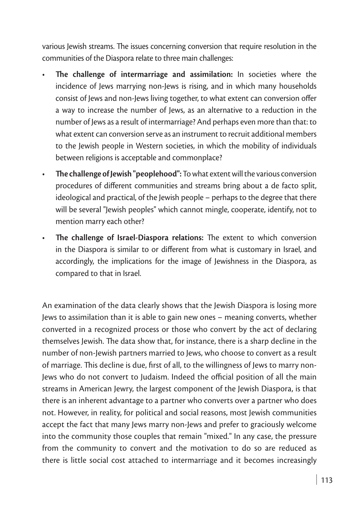various Jewish streams. The issues concerning conversion that require resolution in the communities of the Diaspora relate to three main challenges:

- **The challenge of intermarriage and assimilation:** In societies where the incidence of Jews marrying non-Jews is rising, and in which many households consist of Jews and non-Jews living together, to what extent can conversion offer a way to increase the number of Jews, as an alternative to a reduction in the number of Jews as a result of intermarriage? And perhaps even more than that: to what extent can conversion serve as an instrument to recruit additional members to the Jewish people in Western societies, in which the mobility of individuals between religions is acceptable and commonplace?
- • **The challenge of Jewish "peoplehood":** To what extent will the various conversion procedures of different communities and streams bring about a de facto split, ideological and practical, of the Jewish people – perhaps to the degree that there will be several "Jewish peoples" which cannot mingle, cooperate, identify, not to mention marry each other?
- **The challenge of Israel-Diaspora relations:** The extent to which conversion in the Diaspora is similar to or different from what is customary in Israel, and accordingly, the implications for the image of Jewishness in the Diaspora, as compared to that in Israel.

An examination of the data clearly shows that the Jewish Diaspora is losing more Jews to assimilation than it is able to gain new ones – meaning converts, whether converted in a recognized process or those who convert by the act of declaring themselves Jewish. The data show that, for instance, there is a sharp decline in the number of non-Jewish partners married to Jews, who choose to convert as a result of marriage. This decline is due, first of all, to the willingness of Jews to marry non-Jews who do not convert to Judaism. Indeed the official position of all the main streams in American Jewry, the largest component of the Jewish Diaspora, is that there is an inherent advantage to a partner who converts over a partner who does not. However, in reality, for political and social reasons, most Jewish communities accept the fact that many Jews marry non-Jews and prefer to graciously welcome into the community those couples that remain "mixed." In any case, the pressure from the community to convert and the motivation to do so are reduced as there is little social cost attached to intermarriage and it becomes increasingly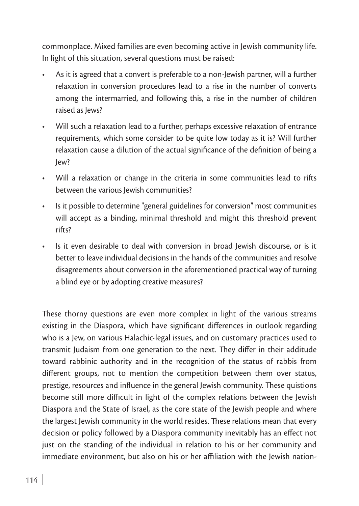commonplace. Mixed families are even becoming active in Jewish community life. In light of this situation, several questions must be raised:

- As it is agreed that a convert is preferable to a non-lewish partner, will a further relaxation in conversion procedures lead to a rise in the number of converts among the intermarried, and following this, a rise in the number of children raised as Jews?
- Will such a relaxation lead to a further, perhaps excessive relaxation of entrance requirements, which some consider to be quite low today as it is? Will further relaxation cause a dilution of the actual significance of the definition of being a Jew?
- Will a relaxation or change in the criteria in some communities lead to rifts between the various Jewish communities?
- Is it possible to determine "general guidelines for conversion" most communities will accept as a binding, minimal threshold and might this threshold prevent rifts?
- Is it even desirable to deal with conversion in broad Jewish discourse, or is it better to leave individual decisions in the hands of the communities and resolve disagreements about conversion in the aforementioned practical way of turning a blind eye or by adopting creative measures?

These thorny questions are even more complex in light of the various streams existing in the Diaspora, which have significant differences in outlook regarding who is a Jew, on various Halachic-legal issues, and on customary practices used to transmit Judaism from one generation to the next. They differ in their additude toward rabbinic authority and in the recognition of the status of rabbis from different groups, not to mention the competition between them over status, prestige, resources and influence in the general Jewish community. These quistions become still more difficult in light of the complex relations between the Jewish Diaspora and the State of Israel, as the core state of the Jewish people and where the largest Jewish community in the world resides. These relations mean that every decision or policy followed by a Diaspora community inevitably has an effect not just on the standing of the individual in relation to his or her community and immediate environment, but also on his or her affiliation with the Jewish nation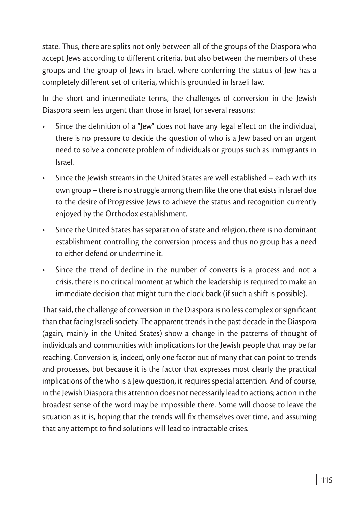state. Thus, there are splits not only between all of the groups of the Diaspora who accept Jews according to different criteria, but also between the members of these groups and the group of Jews in Israel, where conferring the status of Jew has a completely different set of criteria, which is grounded in Israeli law.

In the short and intermediate terms, the challenges of conversion in the Jewish Diaspora seem less urgent than those in Israel, for several reasons:

- Since the definition of a "Jew" does not have any legal effect on the individual, there is no pressure to decide the question of who is a Jew based on an urgent need to solve a concrete problem of individuals or groups such as immigrants in Israel.
- Since the Jewish streams in the United States are well established  $-$  each with its own group – there is no struggle among them like the one that exists in Israel due to the desire of Progressive Jews to achieve the status and recognition currently enjoyed by the Orthodox establishment.
- Since the United States has separation of state and religion, there is no dominant establishment controlling the conversion process and thus no group has a need to either defend or undermine it.
- Since the trend of decline in the number of converts is a process and not a crisis, there is no critical moment at which the leadership is required to make an immediate decision that might turn the clock back (if such a shift is possible).

That said, the challenge of conversion in the Diaspora is no less complex or significant than that facing Israeli society. The apparent trends in the past decade in the Diaspora (again, mainly in the United States) show a change in the patterns of thought of individuals and communities with implications for the Jewish people that may be far reaching. Conversion is, indeed, only one factor out of many that can point to trends and processes, but because it is the factor that expresses most clearly the practical implications of the who is a Jew question, it requires special attention. And of course, in the Jewish Diaspora this attention does not necessarily lead to actions; action in the broadest sense of the word may be impossible there. Some will choose to leave the situation as it is, hoping that the trends will fix themselves over time, and assuming that any attempt to find solutions will lead to intractable crises.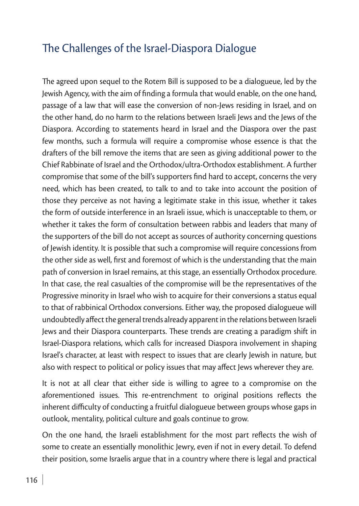#### The Challenges of the Israel-Diaspora Dialogue

The agreed upon sequel to the Rotem Bill is supposed to be a dialogueue, led by the Jewish Agency, with the aim of finding a formula that would enable, on the one hand, passage of a law that will ease the conversion of non-Jews residing in Israel, and on the other hand, do no harm to the relations between Israeli Jews and the Jews of the Diaspora. According to statements heard in Israel and the Diaspora over the past few months, such a formula will require a compromise whose essence is that the drafters of the bill remove the items that are seen as giving additional power to the Chief Rabbinate of Israel and the Orthodox/ultra-Orthodox establishment. A further compromise that some of the bill's supporters find hard to accept, concerns the very need, which has been created, to talk to and to take into account the position of those they perceive as not having a legitimate stake in this issue, whether it takes the form of outside interference in an Israeli issue, which is unacceptable to them, or whether it takes the form of consultation between rabbis and leaders that many of the supporters of the bill do not accept as sources of authority concerning questions of Jewish identity. It is possible that such a compromise will require concessions from the other side as well, first and foremost of which is the understanding that the main path of conversion in Israel remains, at this stage, an essentially Orthodox procedure. In that case, the real casualties of the compromise will be the representatives of the Progressive minority in Israel who wish to acquire for their conversions a status equal to that of rabbinical Orthodox conversions. Either way, the proposed dialogueue will undoubtedly affect the general trends already apparent in the relations between Israeli Jews and their Diaspora counterparts. These trends are creating a paradigm shift in Israel-Diaspora relations, which calls for increased Diaspora involvement in shaping Israel's character, at least with respect to issues that are clearly Jewish in nature, but also with respect to political or policy issues that may affect Jews wherever they are.

It is not at all clear that either side is willing to agree to a compromise on the aforementioned issues. This re-entrenchment to original positions reflects the inherent difficulty of conducting a fruitful dialogueue between groups whose gaps in outlook, mentality, political culture and goals continue to grow.

On the one hand, the Israeli establishment for the most part reflects the wish of some to create an essentially monolithic Jewry, even if not in every detail. To defend their position, some Israelis argue that in a country where there is legal and practical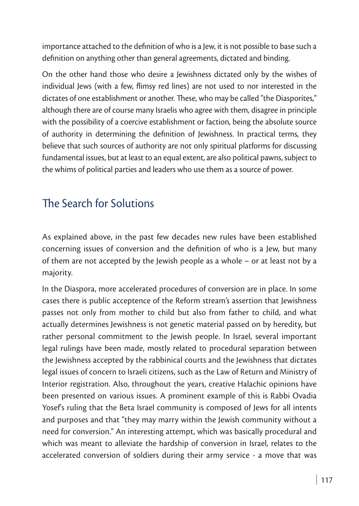importance attached to the definition of who is a Jew, it is not possible to base such a definition on anything other than general agreements, dictated and binding.

On the other hand those who desire a Jewishness dictated only by the wishes of individual Jews (with a few, flimsy red lines) are not used to nor interested in the dictates of one establishment or another. These, who may be called "the Diasporites," although there are of course many Israelis who agree with them, disagree in principle with the possibility of a coercive establishment or faction, being the absolute source of authority in determining the definition of Jewishness. In practical terms, they believe that such sources of authority are not only spiritual platforms for discussing fundamental issues, but at least to an equal extent, are also political pawns, subject to the whims of political parties and leaders who use them as a source of power.

#### The Search for Solutions

As explained above, in the past few decades new rules have been established concerning issues of conversion and the definition of who is a Jew, but many of them are not accepted by the Jewish people as a whole – or at least not by a majority.

In the Diaspora, more accelerated procedures of conversion are in place. In some cases there is public acceptence of the Reform stream's assertion that Jewishness passes not only from mother to child but also from father to child, and what actually determines Jewishness is not genetic material passed on by heredity, but rather personal commitment to the Jewish people. In Israel, several important legal rulings have been made, mostly related to procedural separation between the Jewishness accepted by the rabbinical courts and the Jewishness that dictates legal issues of concern to Israeli citizens, such as the Law of Return and Ministry of Interior registration. Also, throughout the years, creative Halachic opinions have been presented on various issues. A prominent example of this is Rabbi Ovadia Yosef's ruling that the Beta Israel community is composed of Jews for all intents and purposes and that "they may marry within the Jewish community without a need for conversion." An interesting attempt, which was basically procedural and which was meant to alleviate the hardship of conversion in Israel, relates to the accelerated conversion of soldiers during their army service - a move that was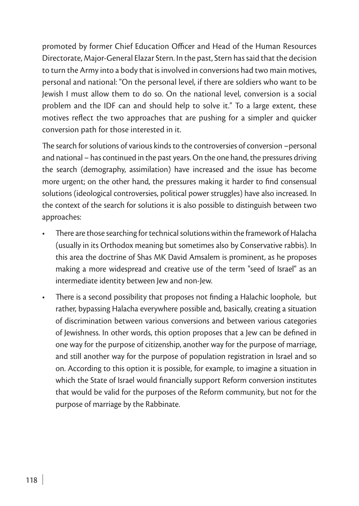promoted by former Chief Education Officer and Head of the Human Resources Directorate, Major-General Elazar Stern. In the past, Stern has said that the decision to turn the Army into a body that is involved in conversions had two main motives, personal and national: "On the personal level, if there are soldiers who want to be Jewish I must allow them to do so. On the national level, conversion is a social problem and the IDF can and should help to solve it." To a large extent, these motives reflect the two approaches that are pushing for a simpler and quicker conversion path for those interested in it.

The search for solutions of various kinds to the controversies of conversion –personal and national – has continued in the past years. On the one hand, the pressures driving the search (demography, assimilation) have increased and the issue has become more urgent; on the other hand, the pressures making it harder to find consensual solutions (ideological controversies, political power struggles) have also increased. In the context of the search for solutions it is also possible to distinguish between two approaches:

- There are those searching for technical solutions within the framework of Halacha (usually in its Orthodox meaning but sometimes also by Conservative rabbis). In this area the doctrine of Shas MK David Amsalem is prominent, as he proposes making a more widespread and creative use of the term "seed of Israel" as an intermediate identity between Jew and non-Jew.
- There is a second possibility that proposes not finding a Halachic loophole, but rather, bypassing Halacha everywhere possible and, basically, creating a situation of discrimination between various conversions and between various categories of Jewishness. In other words, this option proposes that a Jew can be defined in one way for the purpose of citizenship, another way for the purpose of marriage, and still another way for the purpose of population registration in Israel and so on. According to this option it is possible, for example, to imagine a situation in which the State of Israel would financially support Reform conversion institutes that would be valid for the purposes of the Reform community, but not for the purpose of marriage by the Rabbinate.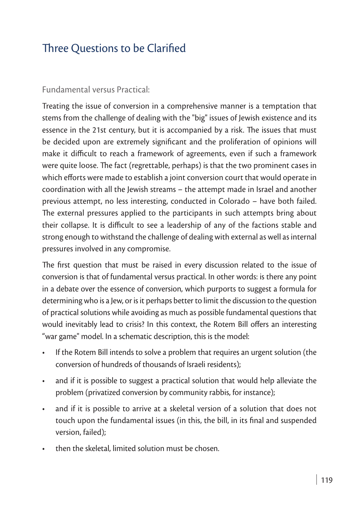## Three Questions to be Clarified

#### Fundamental versus Practical:

Treating the issue of conversion in a comprehensive manner is a temptation that stems from the challenge of dealing with the "big" issues of Jewish existence and its essence in the 21st century, but it is accompanied by a risk. The issues that must be decided upon are extremely significant and the proliferation of opinions will make it difficult to reach a framework of agreements, even if such a framework were quite loose. The fact (regrettable, perhaps) is that the two prominent cases in which efforts were made to establish a joint conversion court that would operate in coordination with all the Jewish streams – the attempt made in Israel and another previous attempt, no less interesting, conducted in Colorado – have both failed. The external pressures applied to the participants in such attempts bring about their collapse. It is difficult to see a leadership of any of the factions stable and strong enough to withstand the challenge of dealing with external as well as internal pressures involved in any compromise.

The first question that must be raised in every discussion related to the issue of conversion is that of fundamental versus practical. In other words: is there any point in a debate over the essence of conversion, which purports to suggest a formula for determining who is a Jew, or is it perhaps better to limit the discussion to the question of practical solutions while avoiding as much as possible fundamental questions that would inevitably lead to crisis? In this context, the Rotem Bill offers an interesting "war game" model. In a schematic description, this is the model:

- If the Rotem Bill intends to solve a problem that requires an urgent solution (the conversion of hundreds of thousands of Israeli residents);
- and if it is possible to suggest a practical solution that would help alleviate the problem (privatized conversion by community rabbis, for instance);
- and if it is possible to arrive at a skeletal version of a solution that does not touch upon the fundamental issues (in this, the bill, in its final and suspended version, failed);
- then the skeletal, limited solution must be chosen.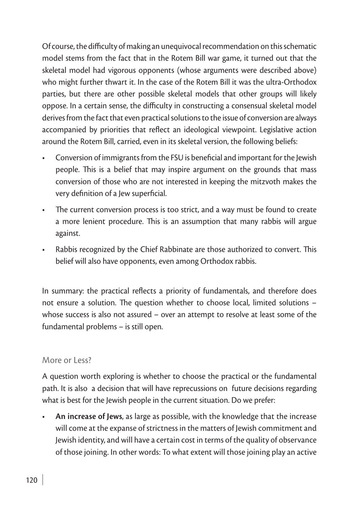Of course, the difficulty of making an unequivocal recommendation on this schematic model stems from the fact that in the Rotem Bill war game, it turned out that the skeletal model had vigorous opponents (whose arguments were described above) who might further thwart it. In the case of the Rotem Bill it was the ultra-Orthodox parties, but there are other possible skeletal models that other groups will likely oppose. In a certain sense, the difficulty in constructing a consensual skeletal model derives from the fact that even practical solutions to the issue of conversion are always accompanied by priorities that reflect an ideological viewpoint. Legislative action around the Rotem Bill, carried, even in its skeletal version, the following beliefs:

- Conversion of immigrants from the FSU is beneficial and important for the Jewish people. This is a belief that may inspire argument on the grounds that mass conversion of those who are not interested in keeping the mitzvoth makes the very definition of a Jew superficial.
- The current conversion process is too strict, and a way must be found to create a more lenient procedure. This is an assumption that many rabbis will argue against.
- Rabbis recognized by the Chief Rabbinate are those authorized to convert. This belief will also have opponents, even among Orthodox rabbis.

In summary: the practical reflects a priority of fundamentals, and therefore does not ensure a solution. The question whether to choose local, limited solutions – whose success is also not assured – over an attempt to resolve at least some of the fundamental problems – is still open.

#### More or Less?

A question worth exploring is whether to choose the practical or the fundamental path. It is also a decision that will have reprecussions on future decisions regarding what is best for the Jewish people in the current situation. Do we prefer:

An increase of Jews, as large as possible, with the knowledge that the increase will come at the expanse of strictness in the matters of Jewish commitment and Jewish identity, and will have a certain cost in terms of the quality of observance of those joining. In other words: To what extent will those joining play an active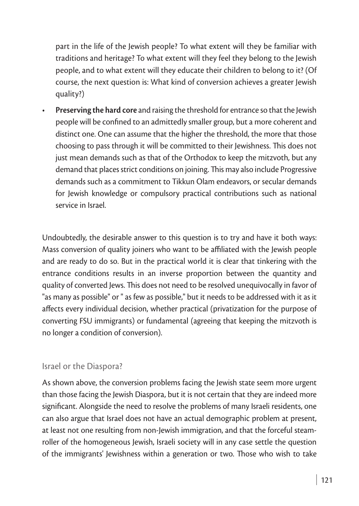part in the life of the Jewish people? To what extent will they be familiar with traditions and heritage? To what extent will they feel they belong to the Jewish people, and to what extent will they educate their children to belong to it? (Of course, the next question is: What kind of conversion achieves a greater Jewish quality?)

**Preserving the hard core** and raising the threshold for entrance so that the Jewish people will be confined to an admittedly smaller group, but a more coherent and distinct one. One can assume that the higher the threshold, the more that those choosing to pass through it will be committed to their Jewishness. This does not just mean demands such as that of the Orthodox to keep the mitzvoth, but any demand that places strict conditions on joining. This may also include Progressive demands such as a commitment to Tikkun Olam endeavors, or secular demands for Jewish knowledge or compulsory practical contributions such as national service in Israel.

Undoubtedly, the desirable answer to this question is to try and have it both ways: Mass conversion of quality joiners who want to be affiliated with the Jewish people and are ready to do so. But in the practical world it is clear that tinkering with the entrance conditions results in an inverse proportion between the quantity and quality of converted Jews. This does not need to be resolved unequivocally in favor of "as many as possible" or " as few as possible," but it needs to be addressed with it as it affects every individual decision, whether practical (privatization for the purpose of converting FSU immigrants) or fundamental (agreeing that keeping the mitzvoth is no longer a condition of conversion).

#### Israel or the Diaspora?

As shown above, the conversion problems facing the Jewish state seem more urgent than those facing the Jewish Diaspora, but it is not certain that they are indeed more significant. Alongside the need to resolve the problems of many Israeli residents, one can also argue that Israel does not have an actual demographic problem at present, at least not one resulting from non-Jewish immigration, and that the forceful steamroller of the homogeneous Jewish, Israeli society will in any case settle the question of the immigrants' Jewishness within a generation or two. Those who wish to take